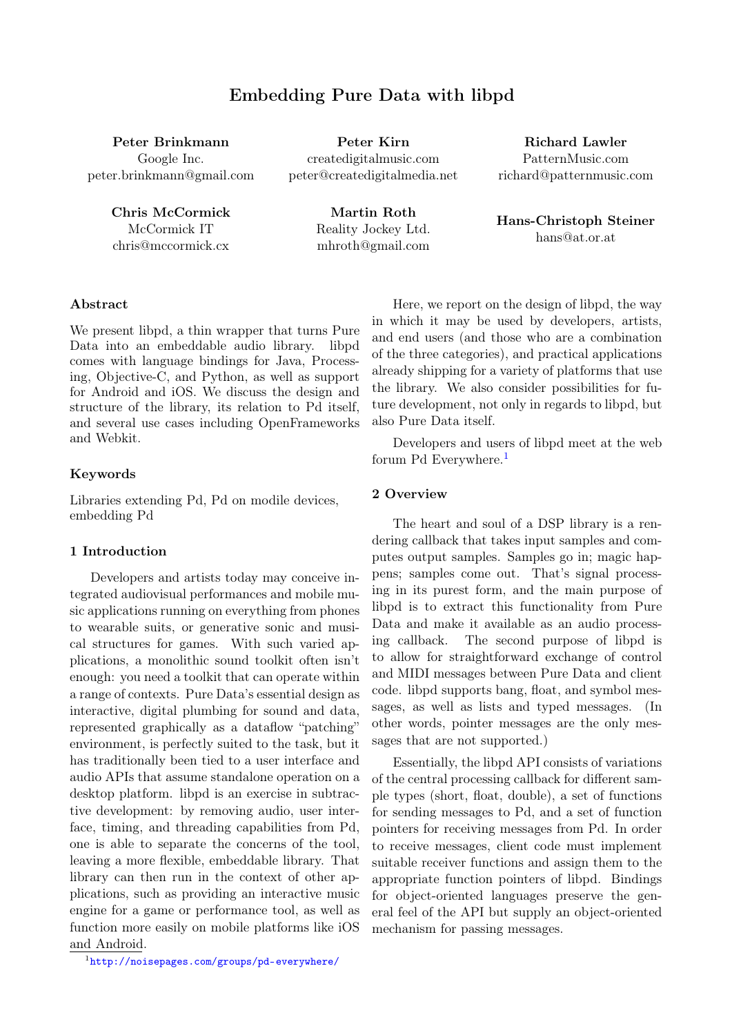# Embedding Pure Data with libpd

Peter Brinkmann Google Inc. peter.brinkmann@gmail.com

> Chris McCormick McCormick IT chris@mccormick.cx

Peter Kirn createdigitalmusic.com peter@createdigitalmedia.net

Richard Lawler PatternMusic.com richard@patternmusic.com

Martin Roth Reality Jockey Ltd. mhroth@gmail.com

Hans-Christoph Steiner hans@at.or.at

# Abstract

We present libpd, a thin wrapper that turns Pure Data into an embeddable audio library. libpd comes with language bindings for Java, Processing, Objective-C, and Python, as well as support for Android and iOS. We discuss the design and structure of the library, its relation to Pd itself, and several use cases including OpenFrameworks and Webkit.

### Keywords

Libraries extending Pd, Pd on modile devices, embedding Pd

### 1 Introduction

Developers and artists today may conceive integrated audiovisual performances and mobile music applications running on everything from phones to wearable suits, or generative sonic and musical structures for games. With such varied applications, a monolithic sound toolkit often isn't enough: you need a toolkit that can operate within a range of contexts. Pure Data's essential design as interactive, digital plumbing for sound and data, represented graphically as a dataflow "patching" environment, is perfectly suited to the task, but it has traditionally been tied to a user interface and audio APIs that assume standalone operation on a desktop platform. libpd is an exercise in subtractive development: by removing audio, user interface, timing, and threading capabilities from Pd, one is able to separate the concerns of the tool, leaving a more flexible, embeddable library. That library can then run in the context of other applications, such as providing an interactive music engine for a game or performance tool, as well as function more easily on mobile platforms like iOS and Android.

Here, we report on the design of libpd, the way in which it may be used by developers, artists, and end users (and those who are a combination of the three categories), and practical applications already shipping for a variety of platforms that use the library. We also consider possibilities for future development, not only in regards to libpd, but also Pure Data itself.

Developers and users of libpd meet at the web forum Pd Everywhere.<sup>[1](#page-0-0)</sup>

### 2 Overview

The heart and soul of a DSP library is a rendering callback that takes input samples and computes output samples. Samples go in; magic happens; samples come out. That's signal processing in its purest form, and the main purpose of libpd is to extract this functionality from Pure Data and make it available as an audio processing callback. The second purpose of libpd is to allow for straightforward exchange of control and MIDI messages between Pure Data and client code. libpd supports bang, float, and symbol messages, as well as lists and typed messages. (In other words, pointer messages are the only messages that are not supported.)

Essentially, the libpd API consists of variations of the central processing callback for different sample types (short, float, double), a set of functions for sending messages to Pd, and a set of function pointers for receiving messages from Pd. In order to receive messages, client code must implement suitable receiver functions and assign them to the appropriate function pointers of libpd. Bindings for object-oriented languages preserve the general feel of the API but supply an object-oriented mechanism for passing messages.

<span id="page-0-0"></span><sup>1</sup> <http://noisepages.com/groups/pd-everywhere/>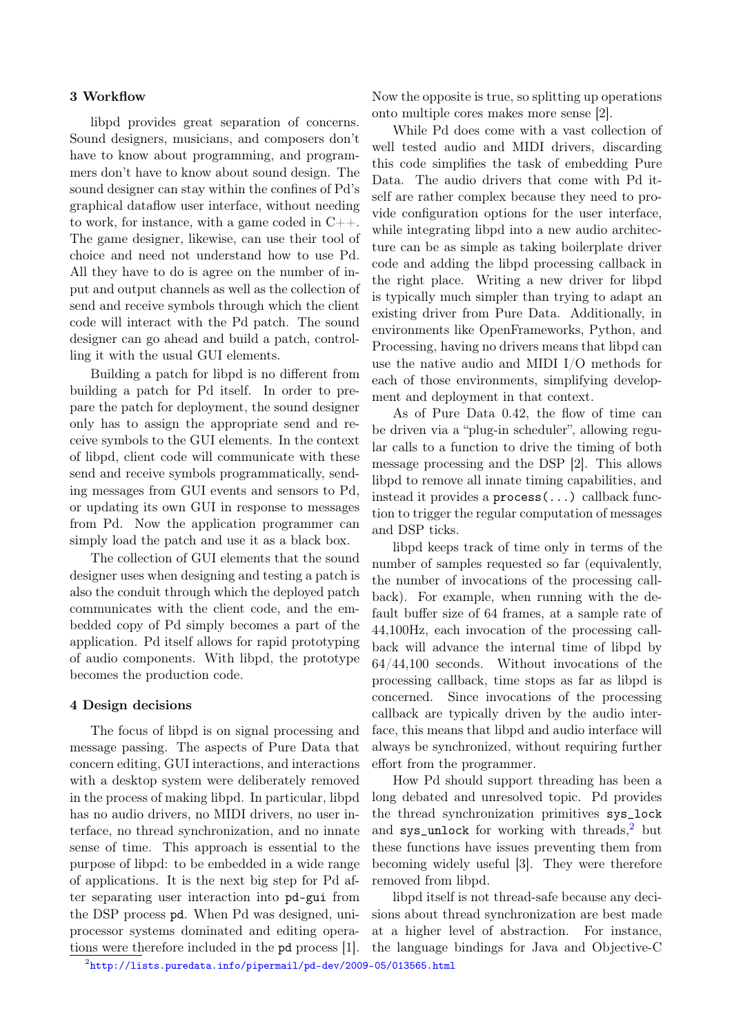### 3 Workflow

libpd provides great separation of concerns. Sound designers, musicians, and composers don't have to know about programming, and programmers don't have to know about sound design. The sound designer can stay within the confines of Pd's graphical dataflow user interface, without needing to work, for instance, with a game coded in  $C_{++}$ . The game designer, likewise, can use their tool of choice and need not understand how to use Pd. All they have to do is agree on the number of input and output channels as well as the collection of send and receive symbols through which the client code will interact with the Pd patch. The sound designer can go ahead and build a patch, controlling it with the usual GUI elements.

Building a patch for libpd is no different from building a patch for Pd itself. In order to prepare the patch for deployment, the sound designer only has to assign the appropriate send and receive symbols to the GUI elements. In the context of libpd, client code will communicate with these send and receive symbols programmatically, sending messages from GUI events and sensors to Pd, or updating its own GUI in response to messages from Pd. Now the application programmer can simply load the patch and use it as a black box.

The collection of GUI elements that the sound designer uses when designing and testing a patch is also the conduit through which the deployed patch communicates with the client code, and the embedded copy of Pd simply becomes a part of the application. Pd itself allows for rapid prototyping of audio components. With libpd, the prototype becomes the production code.

### 4 Design decisions

<span id="page-1-0"></span>The focus of libpd is on signal processing and message passing. The aspects of Pure Data that concern editing, GUI interactions, and interactions with a desktop system were deliberately removed in the process of making libpd. In particular, libpd has no audio drivers, no MIDI drivers, no user interface, no thread synchronization, and no innate sense of time. This approach is essential to the purpose of libpd: to be embedded in a wide range of applications. It is the next big step for Pd after separating user interaction into pd-gui from the DSP process pd. When Pd was designed, uniprocessor systems dominated and editing operations were therefore included in the pd process [1]. Now the opposite is true, so splitting up operations onto multiple cores makes more sense [2].

While Pd does come with a vast collection of well tested audio and MIDI drivers, discarding this code simplifies the task of embedding Pure Data. The audio drivers that come with Pd itself are rather complex because they need to provide configuration options for the user interface, while integrating libpd into a new audio architecture can be as simple as taking boilerplate driver code and adding the libpd processing callback in the right place. Writing a new driver for libpd is typically much simpler than trying to adapt an existing driver from Pure Data. Additionally, in environments like OpenFrameworks, Python, and Processing, having no drivers means that libpd can use the native audio and MIDI I/O methods for each of those environments, simplifying development and deployment in that context.

As of Pure Data 0.42, the flow of time can be driven via a "plug-in scheduler", allowing regular calls to a function to drive the timing of both message processing and the DSP [2]. This allows libpd to remove all innate timing capabilities, and instead it provides a process(...) callback function to trigger the regular computation of messages and DSP ticks.

libpd keeps track of time only in terms of the number of samples requested so far (equivalently, the number of invocations of the processing callback). For example, when running with the default buffer size of 64 frames, at a sample rate of 44,100Hz, each invocation of the processing callback will advance the internal time of libpd by 64/44,100 seconds. Without invocations of the processing callback, time stops as far as libpd is concerned. Since invocations of the processing callback are typically driven by the audio interface, this means that libpd and audio interface will always be synchronized, without requiring further effort from the programmer.

How Pd should support threading has been a long debated and unresolved topic. Pd provides the thread synchronization primitives sys\_lock and  $sys\_unlock$  for working with threads,<sup>[2](#page-1-0)</sup> but these functions have issues preventing them from becoming widely useful [3]. They were therefore removed from libpd.

libpd itself is not thread-safe because any decisions about thread synchronization are best made at a higher level of abstraction. For instance, the language bindings for Java and Objective-C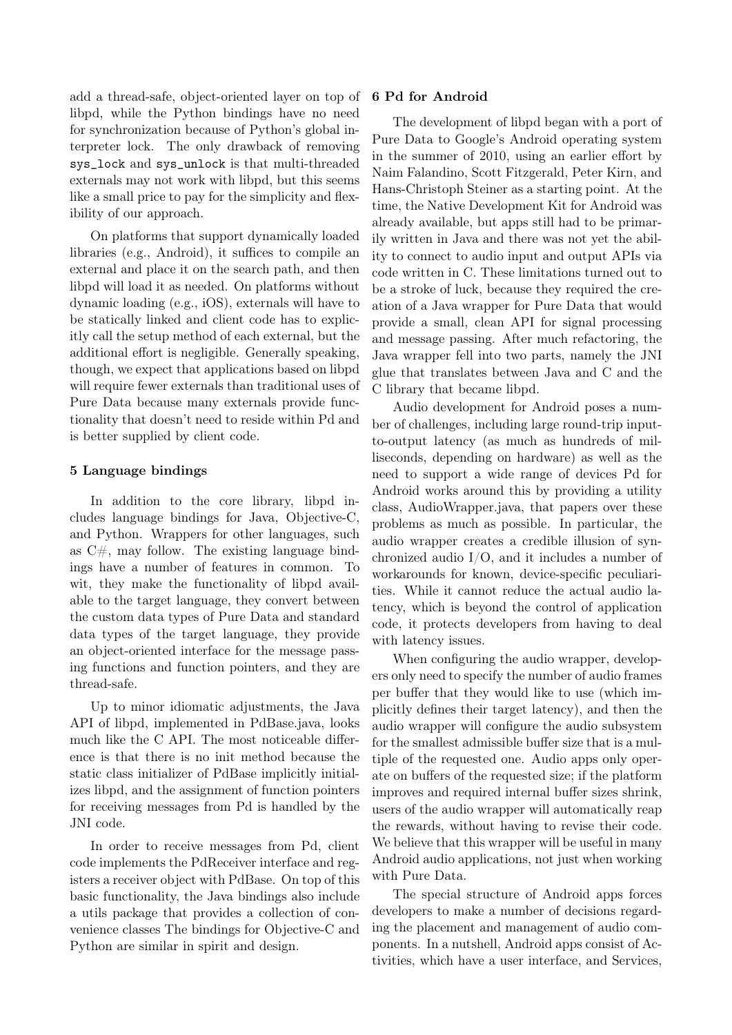add a thread-safe, object-oriented layer on top of libpd, while the Python bindings have no need for synchronization because of Python's global interpreter lock. The only drawback of removing sys\_lock and sys\_unlock is that multi-threaded externals may not work with libpd, but this seems like a small price to pay for the simplicity and flexibility of our approach.

On platforms that support dynamically loaded libraries (e.g., Android), it suffices to compile an external and place it on the search path, and then libpd will load it as needed. On platforms without dynamic loading (e.g., iOS), externals will have to be statically linked and client code has to explicitly call the setup method of each external, but the additional effort is negligible. Generally speaking, though, we expect that applications based on libpd will require fewer externals than traditional uses of Pure Data because many externals provide functionality that doesn't need to reside within Pd and is better supplied by client code.

## 5 Language bindings

In addition to the core library, libpd includes language bindings for Java, Objective-C, and Python. Wrappers for other languages, such as  $C#$ , may follow. The existing language bindings have a number of features in common. To wit, they make the functionality of libpd available to the target language, they convert between the custom data types of Pure Data and standard data types of the target language, they provide an object-oriented interface for the message passing functions and function pointers, and they are thread-safe.

Up to minor idiomatic adjustments, the Java API of libpd, implemented in PdBase.java, looks much like the C API. The most noticeable difference is that there is no init method because the static class initializer of PdBase implicitly initializes libpd, and the assignment of function pointers for receiving messages from Pd is handled by the JNI code.

In order to receive messages from Pd, client code implements the PdReceiver interface and registers a receiver object with PdBase. On top of this basic functionality, the Java bindings also include a utils package that provides a collection of convenience classes The bindings for Objective-C and Python are similar in spirit and design.

### 6 Pd for Android

The development of libpd began with a port of Pure Data to Google's Android operating system in the summer of 2010, using an earlier effort by Naim Falandino, Scott Fitzgerald, Peter Kirn, and Hans-Christoph Steiner as a starting point. At the time, the Native Development Kit for Android was already available, but apps still had to be primarily written in Java and there was not yet the ability to connect to audio input and output APIs via code written in C. These limitations turned out to be a stroke of luck, because they required the creation of a Java wrapper for Pure Data that would provide a small, clean API for signal processing and message passing. After much refactoring, the Java wrapper fell into two parts, namely the JNI glue that translates between Java and C and the C library that became libpd.

Audio development for Android poses a number of challenges, including large round-trip inputto-output latency (as much as hundreds of milliseconds, depending on hardware) as well as the need to support a wide range of devices Pd for Android works around this by providing a utility class, AudioWrapper.java, that papers over these problems as much as possible. In particular, the audio wrapper creates a credible illusion of synchronized audio I/O, and it includes a number of workarounds for known, device-specific peculiarities. While it cannot reduce the actual audio latency, which is beyond the control of application code, it protects developers from having to deal with latency issues.

When configuring the audio wrapper, developers only need to specify the number of audio frames per buffer that they would like to use (which implicitly defines their target latency), and then the audio wrapper will configure the audio subsystem for the smallest admissible buffer size that is a multiple of the requested one. Audio apps only operate on buffers of the requested size; if the platform improves and required internal buffer sizes shrink, users of the audio wrapper will automatically reap the rewards, without having to revise their code. We believe that this wrapper will be useful in many Android audio applications, not just when working with Pure Data.

The special structure of Android apps forces developers to make a number of decisions regarding the placement and management of audio components. In a nutshell, Android apps consist of Activities, which have a user interface, and Services,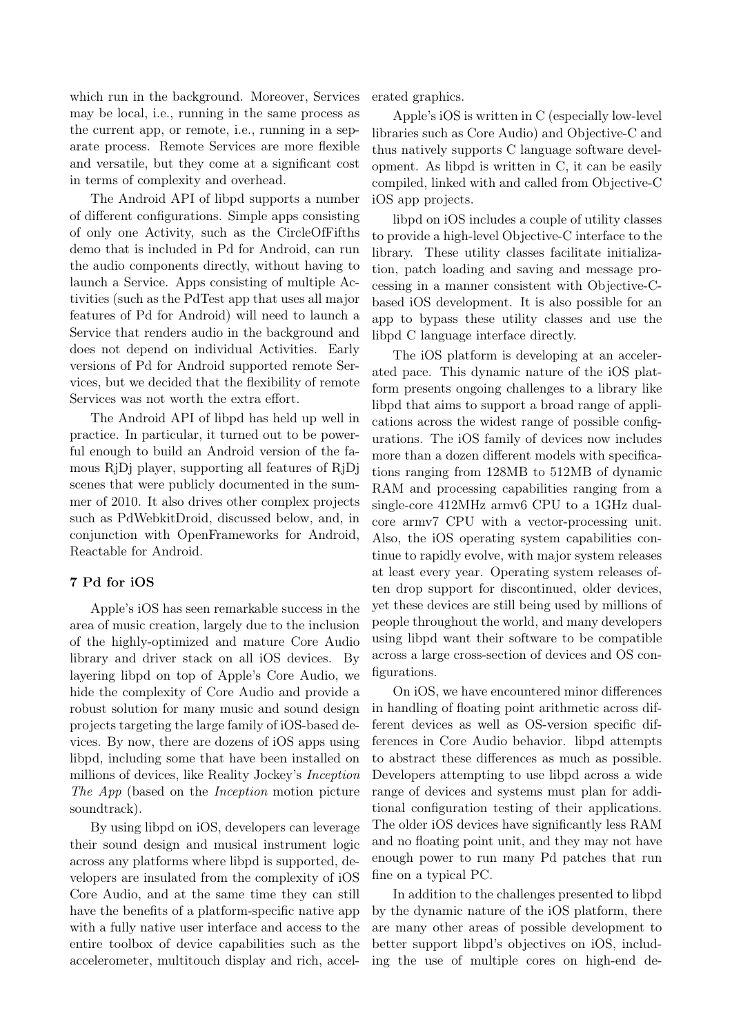which run in the background. Moreover, Services may be local, i.e., running in the same process as the current app, or remote, i.e., running in a separate process. Remote Services are more flexible and versatile, but they come at a significant cost in terms of complexity and overhead.

The Android API of libpd supports a number of different configurations. Simple apps consisting of only one Activity, such as the CircleOfFifths demo that is included in Pd for Android, can run the audio components directly, without having to launch a Service. Apps consisting of multiple Activities (such as the PdTest app that uses all major features of Pd for Android) will need to launch a Service that renders audio in the background and does not depend on individual Activities. Early versions of Pd for Android supported remote Services, but we decided that the flexibility of remote Services was not worth the extra effort.

The Android API of libpd has held up well in practice. In particular, it turned out to be powerful enough to build an Android version of the famous RjDj player, supporting all features of RjDj scenes that were publicly documented in the summer of 2010. It also drives other complex projects such as PdWebkitDroid, discussed below, and, in conjunction with OpenFrameworks for Android, Reactable for Android.

# 7 Pd for iOS

Apple's iOS has seen remarkable success in the area of music creation, largely due to the inclusion of the highly-optimized and mature Core Audio library and driver stack on all iOS devices. By layering libpd on top of Apple's Core Audio, we hide the complexity of Core Audio and provide a robust solution for many music and sound design projects targeting the large family of iOS-based devices. By now, there are dozens of iOS apps using libpd, including some that have been installed on millions of devices, like Reality Jockey's Inception The App (based on the Inception motion picture soundtrack).

By using libpd on iOS, developers can leverage their sound design and musical instrument logic across any platforms where libpd is supported, developers are insulated from the complexity of iOS Core Audio, and at the same time they can still have the benefits of a platform-specific native app with a fully native user interface and access to the entire toolbox of device capabilities such as the accelerometer, multitouch display and rich, accelerated graphics.

Apple's iOS is written in C (especially low-level libraries such as Core Audio) and Objective-C and thus natively supports C language software development. As libpd is written in C, it can be easily compiled, linked with and called from Objective-C iOS app projects.

libpd on iOS includes a couple of utility classes to provide a high-level Objective-C interface to the library. These utility classes facilitate initialization, patch loading and saving and message processing in a manner consistent with Objective-Cbased iOS development. It is also possible for an app to bypass these utility classes and use the libpd C language interface directly.

The iOS platform is developing at an accelerated pace. This dynamic nature of the iOS platform presents ongoing challenges to a library like libpd that aims to support a broad range of applications across the widest range of possible configurations. The iOS family of devices now includes more than a dozen different models with specifications ranging from 128MB to 512MB of dynamic RAM and processing capabilities ranging from a single-core 412MHz armv6 CPU to a 1GHz dualcore armv7 CPU with a vector-processing unit. Also, the iOS operating system capabilities continue to rapidly evolve, with major system releases at least every year. Operating system releases often drop support for discontinued, older devices, yet these devices are still being used by millions of people throughout the world, and many developers using libpd want their software to be compatible across a large cross-section of devices and OS configurations.

On iOS, we have encountered minor differences in handling of floating point arithmetic across different devices as well as OS-version specific differences in Core Audio behavior. libpd attempts to abstract these differences as much as possible. Developers attempting to use libpd across a wide range of devices and systems must plan for additional configuration testing of their applications. The older iOS devices have significantly less RAM and no floating point unit, and they may not have enough power to run many Pd patches that run fine on a typical PC.

In addition to the challenges presented to libpd by the dynamic nature of the iOS platform, there are many other areas of possible development to better support libpd's objectives on iOS, including the use of multiple cores on high-end de-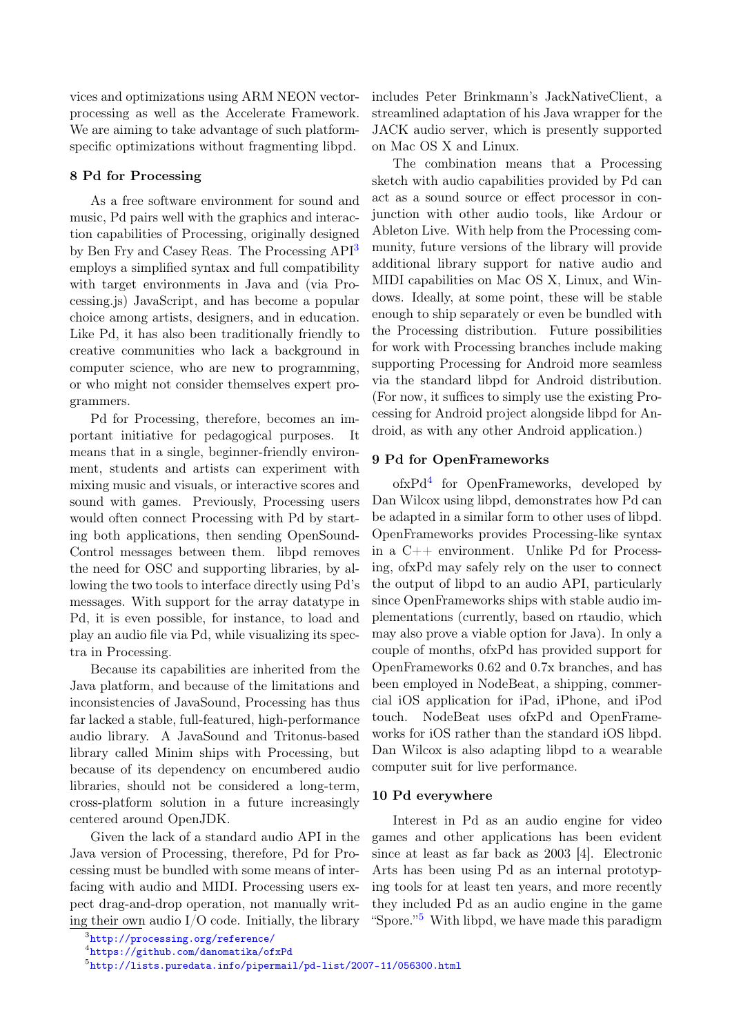vices and optimizations using ARM NEON vectorprocessing as well as the Accelerate Framework. We are aiming to take advantage of such platformspecific optimizations without fragmenting libpd.

# 8 Pd for Processing

As a free software environment for sound and music, Pd pairs well with the graphics and interaction capabilities of Processing, originally designed by Ben Fry and Casey Reas. The Processing API<sup>[3](#page-4-0)</sup> employs a simplified syntax and full compatibility with target environments in Java and (via Processing.js) JavaScript, and has become a popular choice among artists, designers, and in education. Like Pd, it has also been traditionally friendly to creative communities who lack a background in computer science, who are new to programming, or who might not consider themselves expert programmers.

Pd for Processing, therefore, becomes an important initiative for pedagogical purposes. It means that in a single, beginner-friendly environment, students and artists can experiment with mixing music and visuals, or interactive scores and sound with games. Previously, Processing users would often connect Processing with Pd by starting both applications, then sending OpenSound-Control messages between them. libpd removes the need for OSC and supporting libraries, by allowing the two tools to interface directly using Pd's messages. With support for the array datatype in Pd, it is even possible, for instance, to load and play an audio file via Pd, while visualizing its spectra in Processing.

Because its capabilities are inherited from the Java platform, and because of the limitations and inconsistencies of JavaSound, Processing has thus far lacked a stable, full-featured, high-performance audio library. A JavaSound and Tritonus-based library called Minim ships with Processing, but because of its dependency on encumbered audio libraries, should not be considered a long-term, cross-platform solution in a future increasingly centered around OpenJDK.

Given the lack of a standard audio API in the Java version of Processing, therefore, Pd for Processing must be bundled with some means of interfacing with audio and MIDI. Processing users expect drag-and-drop operation, not manually writing their own audio I/O code. Initially, the library

includes Peter Brinkmann's JackNativeClient, a streamlined adaptation of his Java wrapper for the JACK audio server, which is presently supported on Mac OS X and Linux.

The combination means that a Processing sketch with audio capabilities provided by Pd can act as a sound source or effect processor in conjunction with other audio tools, like Ardour or Ableton Live. With help from the Processing community, future versions of the library will provide additional library support for native audio and MIDI capabilities on Mac OS X, Linux, and Windows. Ideally, at some point, these will be stable enough to ship separately or even be bundled with the Processing distribution. Future possibilities for work with Processing branches include making supporting Processing for Android more seamless via the standard libpd for Android distribution. (For now, it suffices to simply use the existing Processing for Android project alongside libpd for Android, as with any other Android application.)

## 9 Pd for OpenFrameworks

ofxPd[4](#page-4-1) for OpenFrameworks, developed by Dan Wilcox using libpd, demonstrates how Pd can be adapted in a similar form to other uses of libpd. OpenFrameworks provides Processing-like syntax in a C++ environment. Unlike Pd for Processing, ofxPd may safely rely on the user to connect the output of libpd to an audio API, particularly since OpenFrameworks ships with stable audio implementations (currently, based on rtaudio, which may also prove a viable option for Java). In only a couple of months, ofxPd has provided support for OpenFrameworks 0.62 and 0.7x branches, and has been employed in NodeBeat, a shipping, commercial iOS application for iPad, iPhone, and iPod touch. NodeBeat uses ofxPd and OpenFrameworks for iOS rather than the standard iOS libpd. Dan Wilcox is also adapting libpd to a wearable computer suit for live performance.

### 10 Pd everywhere

Interest in Pd as an audio engine for video games and other applications has been evident since at least as far back as 2003 [4]. Electronic Arts has been using Pd as an internal prototyping tools for at least ten years, and more recently they included Pd as an audio engine in the game "Spore."[5](#page-4-2) With libpd, we have made this paradigm

<span id="page-4-0"></span> $^3$ <http://processing.org/reference/>

<span id="page-4-1"></span><sup>4</sup> <https://github.com/danomatika/ofxPd>

<span id="page-4-2"></span> $^{5}$ <http://lists.puredata.info/pipermail/pd-list/2007-11/056300.html>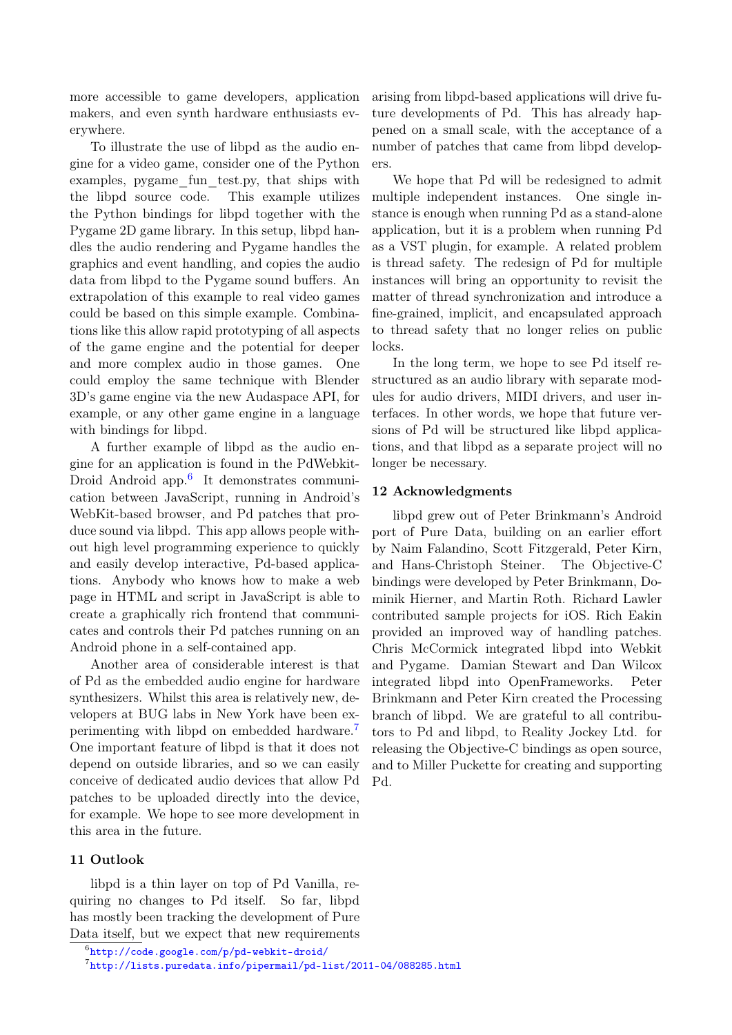more accessible to game developers, application makers, and even synth hardware enthusiasts everywhere.

To illustrate the use of libpd as the audio engine for a video game, consider one of the Python examples, pygame\_fun\_test.py, that ships with the libpd source code. This example utilizes the Python bindings for libpd together with the Pygame 2D game library. In this setup, libpd handles the audio rendering and Pygame handles the graphics and event handling, and copies the audio data from libpd to the Pygame sound buffers. An extrapolation of this example to real video games could be based on this simple example. Combinations like this allow rapid prototyping of all aspects of the game engine and the potential for deeper and more complex audio in those games. One could employ the same technique with Blender 3D's game engine via the new Audaspace API, for example, or any other game engine in a language with bindings for libpd.

A further example of libpd as the audio engine for an application is found in the PdWebkit-Droid Android app.<sup>[6](#page-5-0)</sup> It demonstrates communication between JavaScript, running in Android's WebKit-based browser, and Pd patches that produce sound via libpd. This app allows people without high level programming experience to quickly and easily develop interactive, Pd-based applications. Anybody who knows how to make a web page in HTML and script in JavaScript is able to create a graphically rich frontend that communicates and controls their Pd patches running on an Android phone in a self-contained app.

Another area of considerable interest is that of Pd as the embedded audio engine for hardware synthesizers. Whilst this area is relatively new, developers at BUG labs in New York have been experimenting with libpd on embedded hardware.[7](#page-5-1) One important feature of libpd is that it does not depend on outside libraries, and so we can easily conceive of dedicated audio devices that allow Pd patches to be uploaded directly into the device, for example. We hope to see more development in this area in the future.

## 11 Outlook

libpd is a thin layer on top of Pd Vanilla, requiring no changes to Pd itself. So far, libpd has mostly been tracking the development of Pure Data itself, but we expect that new requirements arising from libpd-based applications will drive future developments of Pd. This has already happened on a small scale, with the acceptance of a number of patches that came from libpd developers.

We hope that Pd will be redesigned to admit multiple independent instances. One single instance is enough when running Pd as a stand-alone application, but it is a problem when running Pd as a VST plugin, for example. A related problem is thread safety. The redesign of Pd for multiple instances will bring an opportunity to revisit the matter of thread synchronization and introduce a fine-grained, implicit, and encapsulated approach to thread safety that no longer relies on public locks.

In the long term, we hope to see Pd itself restructured as an audio library with separate modules for audio drivers, MIDI drivers, and user interfaces. In other words, we hope that future versions of Pd will be structured like libpd applications, and that libpd as a separate project will no longer be necessary.

### 12 Acknowledgments

libpd grew out of Peter Brinkmann's Android port of Pure Data, building on an earlier effort by Naim Falandino, Scott Fitzgerald, Peter Kirn, and Hans-Christoph Steiner. The Objective-C bindings were developed by Peter Brinkmann, Dominik Hierner, and Martin Roth. Richard Lawler contributed sample projects for iOS. Rich Eakin provided an improved way of handling patches. Chris McCormick integrated libpd into Webkit and Pygame. Damian Stewart and Dan Wilcox integrated libpd into OpenFrameworks. Peter Brinkmann and Peter Kirn created the Processing branch of libpd. We are grateful to all contributors to Pd and libpd, to Reality Jockey Ltd. for releasing the Objective-C bindings as open source, and to Miller Puckette for creating and supporting Pd.

<span id="page-5-0"></span> $^6$ <http://code.google.com/p/pd-webkit-droid/>

<span id="page-5-1"></span> $^{7}$ <http://lists.puredata.info/pipermail/pd-list/2011-04/088285.html>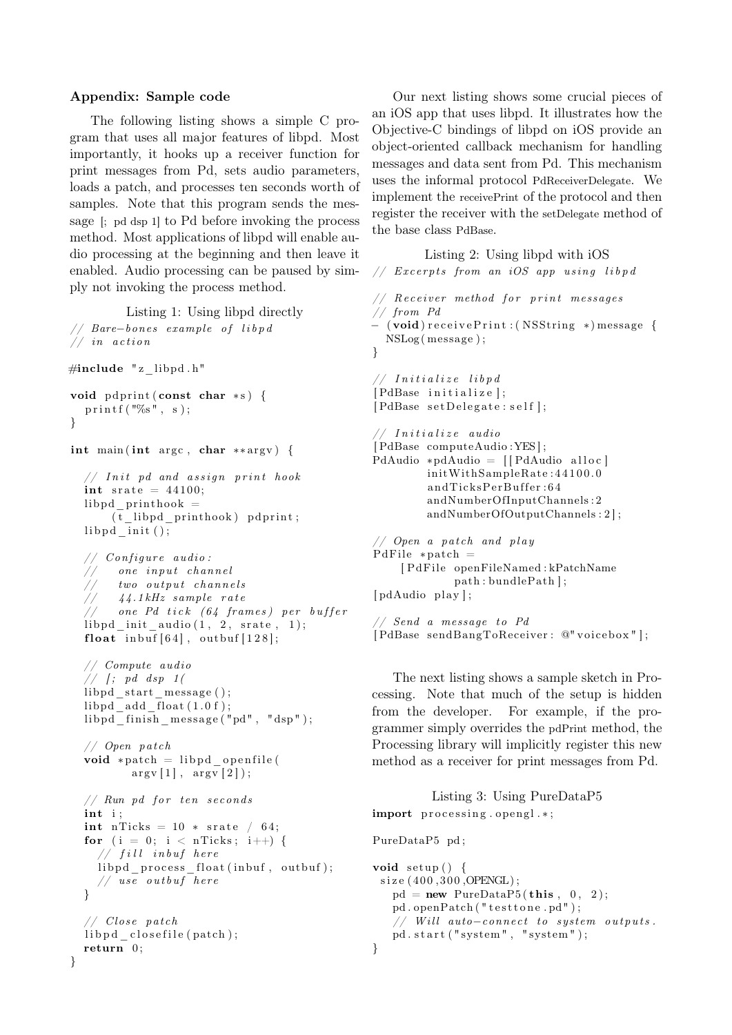#### Appendix: Sample code

The following listing shows a simple C program that uses all major features of libpd. Most importantly, it hooks up a receiver function for print messages from Pd, sets audio parameters, loads a patch, and processes ten seconds worth of samples. Note that this program sends the message [; pd dsp 1] to Pd before invoking the process method. Most applications of libpd will enable audio processing at the beginning and then leave it enabled. Audio processing can be paused by simply not invoking the process method.

Listing 1: Using libpd directly

```
// Bare-bones example of libpd
// in action
\#include "z_libpd.h"
void p d p rint (\text{const char} * s) {
  print(f("%s", s);}
```
int main ( int argc , char ∗∗ argv ) {

```
// Init pd and assign print hook
int srate = 44100;
libpd printhook =(t libpd prin thook ) p d print;
libpd \intinit ( );
```

```
// Configure audio:
     one input channel
     two output channels44.1 kHz sample rate
    one Pd tick (64 frames) per buffer
libpd init audio (1, 2, \text{state}, 1);
float inbuf[64], outbuf[128];
```

```
// Compute audio
// \int; pd dsp 1(
libpd start message ( );
libpd add float(1.0 f);
libpd finish message ("pd", "dsp");
```

```
// Open patch
void *patch = libpd openfile (
       argv [1], argv [2]);// Run pd for ten seconds
int i;
int nTicks = 10 * srate / 64;
for (i = 0; i < nTicks; i++) {
    ' fill inbuf here
  libpd process float (inbuf, outbuf);
  // use outbuf here
}
```

```
// Close patchlib p d closefile ( patch );
return 0;
```
}

Our next listing shows some crucial pieces of an iOS app that uses libpd. It illustrates how the Objective-C bindings of libpd on iOS provide an object-oriented callback mechanism for handling messages and data sent from Pd. This mechanism uses the informal protocol PdReceiverDelegate. We implement the receivePrint of the protocol and then register the receiver with the setDelegate method of the base class PdBase.

```
Listing 2: Using libpd with iOS
// Excerpts from an iOS app using libpd
// Receiver method for print messages
// from Pd
− ( void) r e c e i v e P r i n t : ( NSString ∗) message {
 NSLog ( message ) ;
}
 / Initialize libpd
[ PdBase initialize];
[PdBase setDelegate: self];
// Initialize audio
[ PdBase computeAudio :YES ] ;
PdAudio *pdAudio = [[PdAudio alloc]
         initWithSampleRate: 44100.0
         andTicksPerBuffer:64
         andNumberOfInputChannels : 2
         andNumberOfOutputChannels : 2 ] ;
// Open a patch and play
PdFile * patch =[ PdFile openFileNamed : kPatchName
             path : bundlePath ] ;
[ pdAudio play];
 \sqrt{2} Send a message to Pd
[PdBase sendBangToReceiver: @"voicebox"];
```
The next listing shows a sample sketch in Processing. Note that much of the setup is hidden from the developer. For example, if the programmer simply overrides the pdPrint method, the Processing library will implicitly register this new method as a receiver for print messages from Pd.

```
Listing 3: Using PureDataP5
import processing . opengl.*;
PureDataP5 pd ;
void setup() {
 size (400,300, OPENGL);
   pd = new PureDataP5 (this, 0, 2);pd.openPatch ("testtone.pd");
   // Will auto-conrect to system outputs.pd. start ("system", "system");
}
```